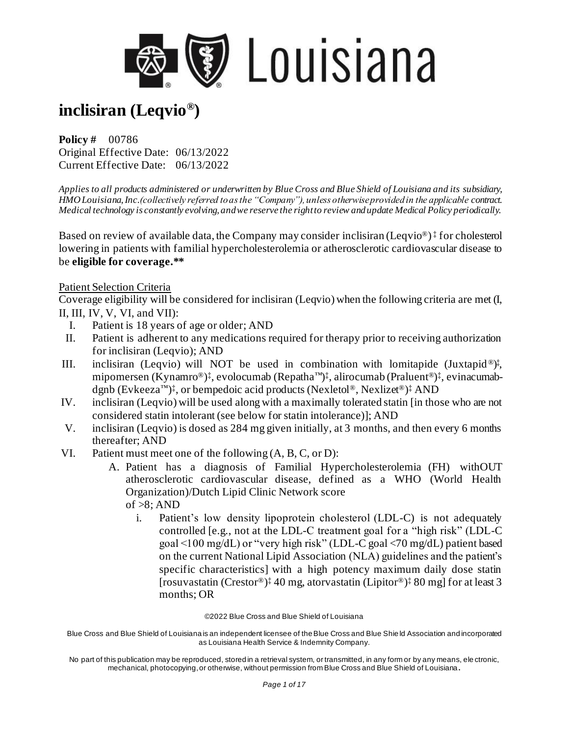

**Policy #** 00786 Original Effective Date: 06/13/2022 Current Effective Date: 06/13/2022

*Applies to all products administered or underwritten by Blue Cross and Blue Shield of Louisiana and its subsidiary, HMO Louisiana, Inc.(collectively referred to as the "Company"), unless otherwise provided in the applicable contract. Medical technology is constantly evolving, and we reserve the right to review and update Medical Policy periodically.*

Based on review of available data, the Company may consider inclisiran (Leqvio<sup>®</sup>)<sup>‡</sup> for cholesterol lowering in patients with familial hypercholesterolemia or atherosclerotic cardiovascular disease to be **eligible for coverage.\*\***

#### Patient Selection Criteria

Coverage eligibility will be considered for inclisiran (Leqvio) when the following criteria are met (I, II, III, IV, V, VI, and VII):

- I. Patient is 18 years of age or older; AND
- II. Patient is adherent to any medications required for therapy prior to receiving authorization for inclisiran (Leqvio); AND
- III. inclisiran (Leqvio) will NOT be used in combination with lomitapide (Juxtapid<sup>®</sup>)<sup>‡</sup>, mipomersen (Kynamro®)‡, evolocumab (Repatha™)‡, alirocumab (Praluent®)‡, evinacumabdgnb (Evkeeza™) ‡ , or bempedoic acid products (Nexletol®, Nexlizet®) ‡ AND
- IV. inclisiran (Leqvio) will be used along with a maximally tolerated statin [in those who are not considered statin intolerant (see below for statin intolerance)]; AND
- V. inclisiran (Leqvio) is dosed as 284 mg given initially, at 3 months, and then every 6 months thereafter; AND
- VI. Patient must meet one of the following (A, B, C, or D):
	- A. Patient has a diagnosis of Familial Hypercholesterolemia (FH) withOUT atherosclerotic cardiovascular disease, defined as a WHO (World Health Organization)/Dutch Lipid Clinic Network score of  $>8$ ; AND
		- i. Patient's low density lipoprotein cholesterol (LDL-C) is not adequately controlled [e.g., not at the LDL-C treatment goal for a "high risk" (LDL-C goal <100 mg/dL) or "very high risk" (LDL-C goal <70 mg/dL) patient based on the current National Lipid Association (NLA) guidelines and the patient's specific characteristics] with a high potency maximum daily dose statin [rosuvastatin (Crestor®) ‡ 40 mg, atorvastatin (Lipitor®) ‡ 80 mg] for at least 3 months; OR

©2022 Blue Cross and Blue Shield of Louisiana

Blue Cross and Blue Shield of Louisiana is an independent licensee of the Blue Cross and Blue Shie ld Association and incorporated as Louisiana Health Service & Indemnity Company.

No part of this publication may be reproduced, stored in a retrieval system, or transmitted, in any form or by any means, ele ctronic, mechanical, photocopying, or otherwise, without permission from Blue Cross and Blue Shield of Louisiana**.**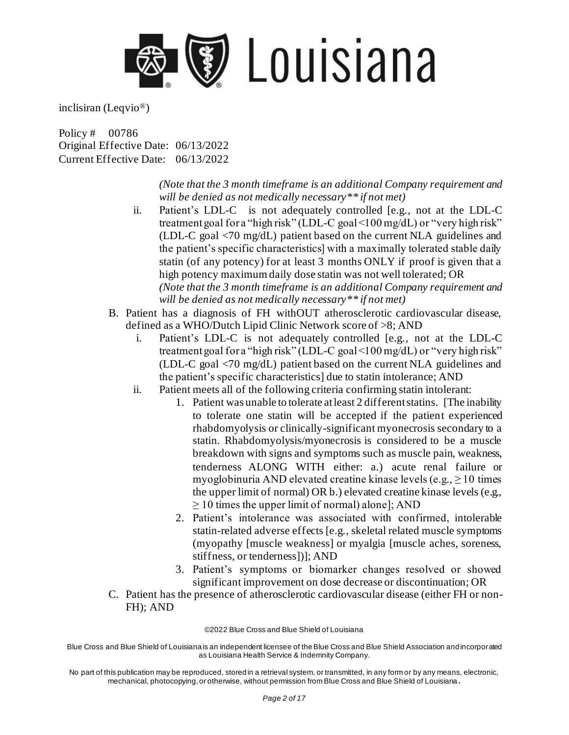

Policy # 00786 Original Effective Date: 06/13/2022 Current Effective Date: 06/13/2022

> *(Note that the 3 month timeframe is an additional Company requirement and will be denied as not medically necessary\*\* if not met)*

- ii. Patient's LDL-C is not adequately controlled [e.g., not at the LDL-C treatment goal for a "high risk" (LDL-C goal <100 mg/dL) or "very high risk" (LDL-C goal <70 mg/dL) patient based on the current NLA guidelines and the patient's specific characteristics] with a maximally tolerated stable daily statin (of any potency) for at least 3 months ONLY if proof is given that a high potency maximum daily dose statin was not well tolerated; OR *(Note that the 3 month timeframe is an additional Company requirement and will be denied as not medically necessary\*\* if not met)*
- B. Patient has a diagnosis of FH withOUT atherosclerotic cardiovascular disease, defined as a WHO/Dutch Lipid Clinic Network score of >8; AND
	- i. Patient's LDL-C is not adequately controlled [e.g., not at the LDL-C treatment goal for a "high risk" (LDL-C goal <100 mg/dL) or "very high risk" (LDL-C goal <70 mg/dL) patient based on the current NLA guidelines and the patient's specific characteristics] due to statin intolerance; AND
	- ii. Patient meets all of the following criteria confirming statin intolerant:
		- 1. Patient was unable to tolerate at least 2 different statins. [The inability to tolerate one statin will be accepted if the patient experienced rhabdomyolysis or clinically-significant myonecrosis secondary to a statin. Rhabdomyolysis/myonecrosis is considered to be a muscle breakdown with signs and symptoms such as muscle pain, weakness, tenderness ALONG WITH either: a.) acute renal failure or myoglobinuria AND elevated creatine kinase levels (e.g.,  $\geq 10$  times the upper limit of normal) OR b.) elevated creatine kinase levels (e.g.,  $\geq$  10 times the upper limit of normal) alone]; AND
		- 2. Patient's intolerance was associated with confirmed, intolerable statin-related adverse effects [e.g., skeletal related muscle symptoms (myopathy [muscle weakness] or myalgia [muscle aches, soreness, stiffness, or tenderness])]; AND
		- 3. Patient's symptoms or biomarker changes resolved or showed significant improvement on dose decrease or discontinuation; OR
- C. Patient has the presence of atherosclerotic cardiovascular disease (either FH or non-FH); AND

©2022 Blue Cross and Blue Shield of Louisiana

Blue Cross and Blue Shield of Louisiana is an independent licensee of the Blue Cross and Blue Shield Association and incorporated as Louisiana Health Service & Indemnity Company.

No part of this publication may be reproduced, stored in a retrieval system, or transmitted, in any form or by any means, electronic, mechanical, photocopying, or otherwise, without permission from Blue Cross and Blue Shield of Louisiana **.**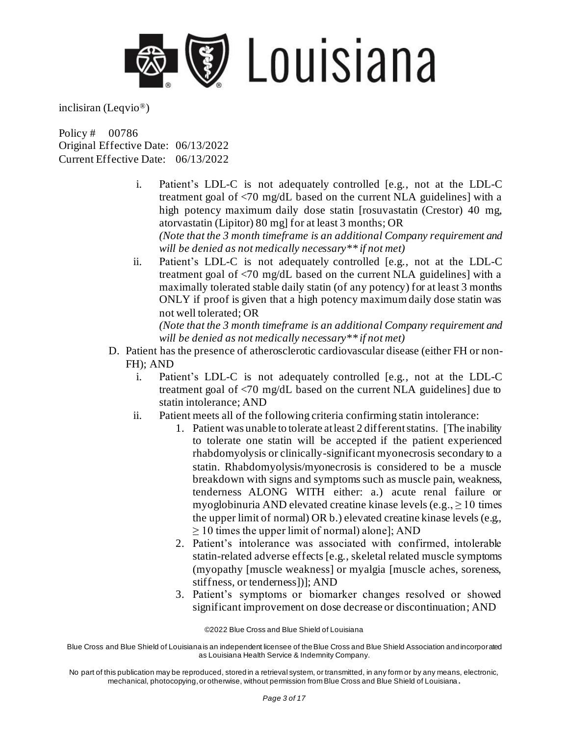

Policy # 00786 Original Effective Date: 06/13/2022 Current Effective Date: 06/13/2022

- i. Patient's LDL-C is not adequately controlled [e.g., not at the LDL-C treatment goal of <70 mg/dL based on the current NLA guidelines] with a high potency maximum daily dose statin [rosuvastatin (Crestor) 40 mg, atorvastatin (Lipitor) 80 mg] for at least 3 months; OR *(Note that the 3 month timeframe is an additional Company requirement and will be denied as not medically necessary\*\* if not met)*
- ii. Patient's LDL-C is not adequately controlled [e.g., not at the LDL-C treatment goal of <70 mg/dL based on the current NLA guidelines] with a maximally tolerated stable daily statin (of any potency) for at least 3 months ONLY if proof is given that a high potency maximum daily dose statin was not well tolerated; OR

*(Note that the 3 month timeframe is an additional Company requirement and will be denied as not medically necessary\*\* if not met)*

- D. Patient has the presence of atherosclerotic cardiovascular disease (either FH or non-FH); AND
	- i. Patient's LDL-C is not adequately controlled [e.g., not at the LDL-C treatment goal of <70 mg/dL based on the current NLA guidelines] due to statin intolerance; AND
	- ii. Patient meets all of the following criteria confirming statin intolerance:
		- 1. Patient was unable to tolerate at least 2 different statins. [The inability to tolerate one statin will be accepted if the patient experienced rhabdomyolysis or clinically-significant myonecrosis secondary to a statin. Rhabdomyolysis/myonecrosis is considered to be a muscle breakdown with signs and symptoms such as muscle pain, weakness, tenderness ALONG WITH either: a.) acute renal failure or myoglobinuria AND elevated creatine kinase levels (e.g.,  $\geq 10$  times the upper limit of normal) OR b.) elevated creatine kinase levels (e.g.,  $\geq$  10 times the upper limit of normal) alone]; AND
		- 2. Patient's intolerance was associated with confirmed, intolerable statin-related adverse effects [e.g., skeletal related muscle symptoms (myopathy [muscle weakness] or myalgia [muscle aches, soreness, stiffness, or tenderness])]; AND
		- 3. Patient's symptoms or biomarker changes resolved or showed significant improvement on dose decrease or discontinuation; AND

©2022 Blue Cross and Blue Shield of Louisiana

Blue Cross and Blue Shield of Louisiana is an independent licensee of the Blue Cross and Blue Shield Association and incorporated as Louisiana Health Service & Indemnity Company.

No part of this publication may be reproduced, stored in a retrieval system, or transmitted, in any form or by any means, electronic, mechanical, photocopying, or otherwise, without permission from Blue Cross and Blue Shield of Louisiana **.**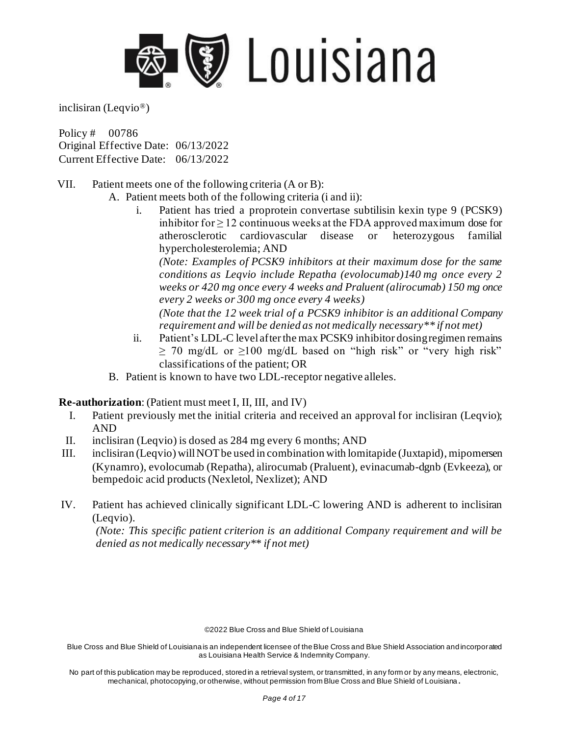

Policy # 00786 Original Effective Date: 06/13/2022 Current Effective Date: 06/13/2022

- VII. Patient meets one of the following criteria (A or B):
	- A. Patient meets both of the following criteria (i and ii):
		- i. Patient has tried a proprotein convertase subtilisin kexin type 9 (PCSK9) inhibitor for  $\geq 12$  continuous weeks at the FDA approved maximum dose for atherosclerotic cardiovascular disease or heterozygous familial hypercholesterolemia; AND

*(Note: Examples of PCSK9 inhibitors at their maximum dose for the same conditions as Leqvio include Repatha (evolocumab)140 mg once every 2 weeks or 420 mg once every 4 weeks and Praluent (alirocumab) 150 mg once every 2 weeks or 300 mg once every 4 weeks)* 

*(Note that the 12 week trial of a PCSK9 inhibitor is an additional Company requirement and will be denied as not medically necessary\*\* if not met)* 

- ii. Patient's LDL-C level after the max PCSK9 inhibitor dosing regimen remains  $\geq$  70 mg/dL or  $\geq$ 100 mg/dL based on "high risk" or "very high risk" classifications of the patient; OR
- B. Patient is known to have two LDL-receptor negative alleles.

#### **Re-authorization**: (Patient must meet I, II, III, and IV)

- I. Patient previously met the initial criteria and received an approval for inclisiran (Leqvio); AND
- II. inclisiran (Leqvio) is dosed as 284 mg every 6 months; AND
- III. inclisiran (Leqvio) will NOT be used in combination with lomitapide (Juxtapid), mipomersen (Kynamro), evolocumab (Repatha), alirocumab (Praluent), evinacumab-dgnb (Evkeeza), or bempedoic acid products (Nexletol, Nexlizet); AND
- IV. Patient has achieved clinically significant LDL-C lowering AND is adherent to inclisiran (Leqvio).

*(Note: This specific patient criterion is an additional Company requirement and will be denied as not medically necessary\*\* if not met)*

©2022 Blue Cross and Blue Shield of Louisiana

Blue Cross and Blue Shield of Louisiana is an independent licensee of the Blue Cross and Blue Shield Association and incorporated as Louisiana Health Service & Indemnity Company.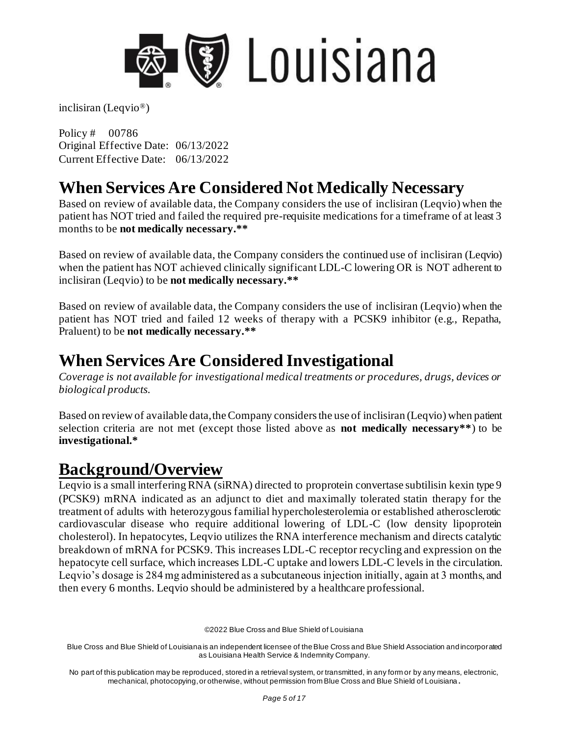

Policy # 00786 Original Effective Date: 06/13/2022 Current Effective Date: 06/13/2022

## **When Services Are Considered Not Medically Necessary**

Based on review of available data, the Company considers the use of inclisiran (Leqvio) when the patient has NOT tried and failed the required pre-requisite medications for a timeframe of at least 3 months to be **not medically necessary.\*\***

Based on review of available data, the Company considers the continued use of inclisiran (Leqvio) when the patient has NOT achieved clinically significant LDL-C lowering OR is NOT adherent to inclisiran (Leqvio) to be **not medically necessary.\*\***

Based on review of available data, the Company considers the use of inclisiran (Leqvio) when the patient has NOT tried and failed 12 weeks of therapy with a PCSK9 inhibitor (e.g., Repatha, Praluent) to be **not medically necessary.\*\***

## **When Services Are Considered Investigational**

*Coverage is not available for investigational medical treatments or procedures, drugs, devices or biological products.*

Based on review of available data, the Company considers the use of inclisiran (Leqvio) when patient selection criteria are not met (except those listed above as **not medically necessary\*\***) to be **investigational.\***

### **Background/Overview**

Leqvio is a small interfering RNA (siRNA) directed to proprotein convertase subtilisin kexin type 9 (PCSK9) mRNA indicated as an adjunct to diet and maximally tolerated statin therapy for the treatment of adults with heterozygous familial hypercholesterolemia or established atherosclerotic cardiovascular disease who require additional lowering of LDL-C (low density lipoprotein cholesterol). In hepatocytes, Leqvio utilizes the RNA interference mechanism and directs catalytic breakdown of mRNA for PCSK9. This increases LDL-C receptor recycling and expression on the hepatocyte cell surface, which increases LDL-C uptake and lowers LDL-C levels in the circulation. Leqvio's dosage is 284 mg administered as a subcutaneous injection initially, again at 3 months, and then every 6 months. Leqvio should be administered by a healthcare professional.

©2022 Blue Cross and Blue Shield of Louisiana

Blue Cross and Blue Shield of Louisiana is an independent licensee of the Blue Cross and Blue Shield Association and incorporated as Louisiana Health Service & Indemnity Company.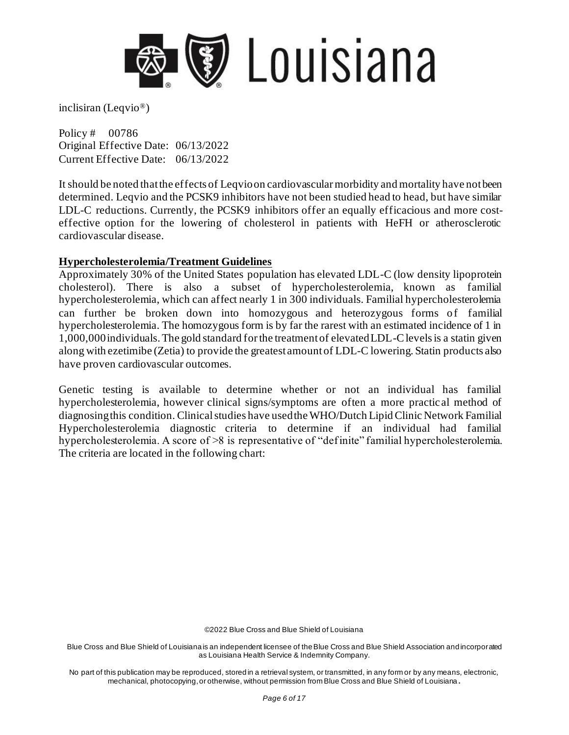

Policy # 00786 Original Effective Date: 06/13/2022 Current Effective Date: 06/13/2022

It should be noted that the effects of Leqvioon cardiovascular morbidity and mortality have not been determined. Leqvio and the PCSK9 inhibitors have not been studied head to head, but have similar LDL-C reductions. Currently, the PCSK9 inhibitors offer an equally efficacious and more costeffective option for the lowering of cholesterol in patients with HeFH or atherosclerotic cardiovascular disease.

#### **Hypercholesterolemia/Treatment Guidelines**

Approximately 30% of the United States population has elevated LDL-C (low density lipoprotein cholesterol). There is also a subset of hypercholesterolemia, known as familial hypercholesterolemia, which can affect nearly 1 in 300 individuals. Familial hypercholesterolemia can further be broken down into homozygous and heterozygous forms of familial hypercholesterolemia. The homozygous form is by far the rarest with an estimated incidence of 1 in 1,000,000 individuals. The gold standard for the treatment of elevated LDL-C levels is a statin given along with ezetimibe (Zetia) to provide the greatest amount of LDL-C lowering. Statin products also have proven cardiovascular outcomes.

Genetic testing is available to determine whether or not an individual has familial hypercholesterolemia, however clinical signs/symptoms are often a more practic al method of diagnosing this condition. Clinical studies have used the WHO/Dutch Lipid Clinic Network Familial Hypercholesterolemia diagnostic criteria to determine if an individual had familial hypercholesterolemia. A score of  $>8$  is representative of "definite" familial hypercholesterolemia. The criteria are located in the following chart:

©2022 Blue Cross and Blue Shield of Louisiana

Blue Cross and Blue Shield of Louisiana is an independent licensee of the Blue Cross and Blue Shield Association and incorporated as Louisiana Health Service & Indemnity Company.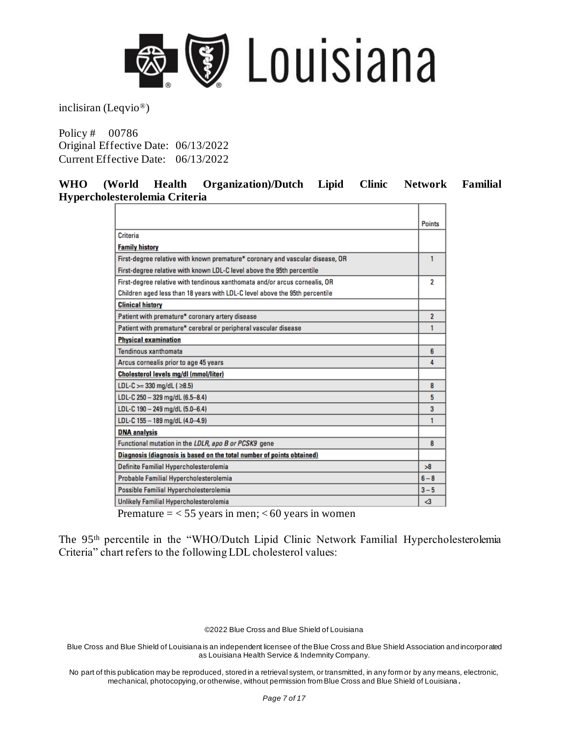

Policy # 00786 Original Effective Date: 06/13/2022 Current Effective Date: 06/13/2022

#### **WHO (World Health Organization)/Dutch Lipid Clinic Network Familial Hypercholesterolemia Criteria**

|                                                                               | <b>Points</b>  |
|-------------------------------------------------------------------------------|----------------|
| Criteria                                                                      |                |
| <b>Family history</b>                                                         |                |
| First-degree relative with known premature* coronary and vascular disease, OR | 1              |
| First-degree relative with known LDL-C level above the 95th percentile        |                |
| First-degree relative with tendinous xanthomata and/or arcus cornealis, OR    | 2              |
| Children aged less than 18 years with LDL-C level above the 95th percentile   |                |
| <b>Clinical history</b>                                                       |                |
| Patient with premature* coronary artery disease                               | $\overline{2}$ |
| Patient with premature* cerebral or peripheral vascular disease               | 1              |
| <b>Physical examination</b>                                                   |                |
| Tendinous xanthomata                                                          | 6              |
| Arcus cornealis prior to age 45 years                                         | 4              |
| Cholesterol levels mg/dl (mmol/liter)                                         |                |
| LDL-C $>=$ 330 mg/dL ( $\geq$ 8.5)                                            | 8              |
| LDL-C 250 - 329 mg/dL (6.5-8.4)                                               | 5              |
| LDL-C 190 - 249 mg/dL (5.0-6.4)                                               | 3              |
| LDL-C 155 - 189 mg/dL (4.0-4.9)                                               | 1              |
| <b>DNA analysis</b>                                                           |                |
| Functional mutation in the LDLR, apo B or PCSK9 gene                          | 8              |
| Diagnosis (diagnosis is based on the total number of points obtained)         |                |
| Definite Familial Hypercholesterolemia                                        | 58             |
| Probable Familial Hypercholesterolemia                                        | $6 - 8$        |
| Possible Familial Hypercholesterolemia                                        | $3 - 5$        |
| Unlikely Familial Hypercholesterolemia                                        | -3             |

Premature  $=$  < 55 years in men; < 60 years in women

The 95th percentile in the "WHO/Dutch Lipid Clinic Network Familial Hypercholesterolemia Criteria" chart refers to the following LDL cholesterol values:

©2022 Blue Cross and Blue Shield of Louisiana

Blue Cross and Blue Shield of Louisiana is an independent licensee of the Blue Cross and Blue Shield Association and incorporated as Louisiana Health Service & Indemnity Company.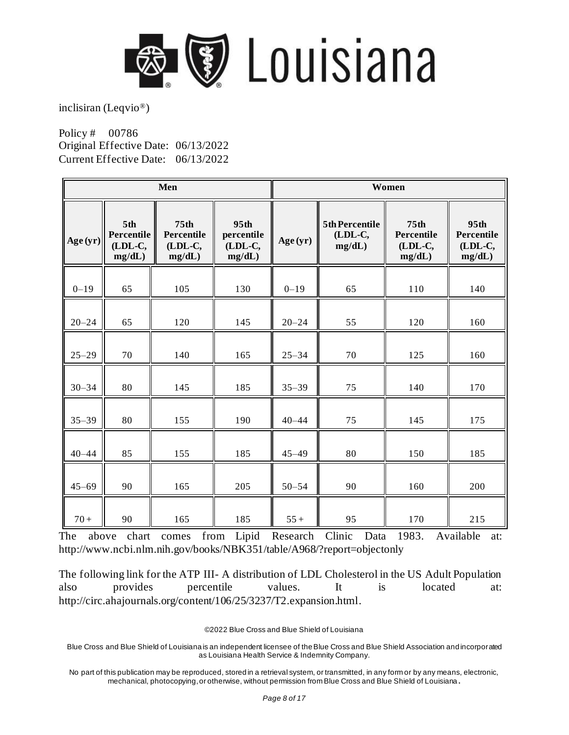

Policy # 00786 Original Effective Date: 06/13/2022 Current Effective Date: 06/13/2022

| Men       |                                        |                                                     | Women                                   |           |                                     |                                                     |                                         |
|-----------|----------------------------------------|-----------------------------------------------------|-----------------------------------------|-----------|-------------------------------------|-----------------------------------------------------|-----------------------------------------|
| Age (yr)  | 5th<br>Percentile<br>(LDL-C,<br>mg/dL) | 75 <sub>th</sub><br>Percentile<br>(LDL-C,<br>mg/dL) | 95th<br>percentile<br>(LDL-C,<br>mg/dL) | Age(yr)   | 5th Percentile<br>(LDL-C,<br>mg/dL) | 75 <sub>th</sub><br>Percentile<br>(LDL-C,<br>mg/dL) | 95th<br>Percentile<br>(LDL-C,<br>mg/dL) |
| $0 - 19$  | 65                                     | 105                                                 | 130                                     | $0 - 19$  | 65                                  | 110                                                 | 140                                     |
| $20 - 24$ | 65                                     | 120                                                 | 145                                     | $20 - 24$ | 55                                  | 120                                                 | 160                                     |
| $25 - 29$ | 70                                     | 140                                                 | 165                                     | $25 - 34$ | 70                                  | 125                                                 | 160                                     |
| $30 - 34$ | 80                                     | 145                                                 | 185                                     | $35 - 39$ | 75                                  | 140                                                 | 170                                     |
| $35 - 39$ | 80                                     | 155                                                 | 190                                     | $40 - 44$ | 75                                  | 145                                                 | 175                                     |
| $40 - 44$ | 85                                     | 155                                                 | 185                                     | $45 - 49$ | 80                                  | 150                                                 | 185                                     |
| $45 - 69$ | 90                                     | 165                                                 | 205                                     | $50 - 54$ | 90                                  | 160                                                 | 200                                     |
| $70 +$    | 90                                     | 165                                                 | 185                                     | $55+$     | 95                                  | 170                                                 | 215                                     |

The above chart comes from Lipid Research Clinic Data 1983. Available at: <http://www.ncbi.nlm.nih.gov/books/NBK351/table/A968/?report=objectonly>

The following link for the ATP III- A distribution of LDL Cholesterol in the US Adult Population also provides percentile values. It is located at: <http://circ.ahajournals.org/content/106/25/3237/T2.expansion.html>.

©2022 Blue Cross and Blue Shield of Louisiana

Blue Cross and Blue Shield of Louisiana is an independent licensee of the Blue Cross and Blue Shield Association and incorporated as Louisiana Health Service & Indemnity Company.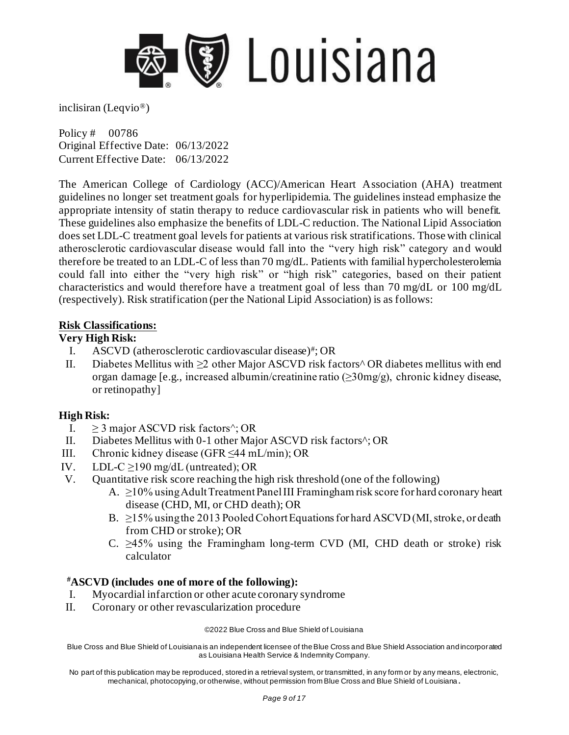

Policy # 00786 Original Effective Date: 06/13/2022 Current Effective Date: 06/13/2022

The American College of Cardiology (ACC)/American Heart Association (AHA) treatment guidelines no longer set treatment goals for hyperlipidemia. The guidelines instead emphasize the appropriate intensity of statin therapy to reduce cardiovascular risk in patients who will benefit. These guidelines also emphasize the benefits of LDL-C reduction. The National Lipid Association does set LDL-C treatment goal levels for patients at various risk stratifications. Those with clinical atherosclerotic cardiovascular disease would fall into the "very high risk" category an d would therefore be treated to an LDL-C of less than 70 mg/dL. Patients with familial hypercholesterolemia could fall into either the "very high risk" or "high risk" categories, based on their patient characteristics and would therefore have a treatment goal of less than 70 mg/dL or 100 mg/dL (respectively). Risk stratification (per the National Lipid Association) is as follows:

#### **Risk Classifications:**

#### **Very High Risk:**

- I. ASCVD (atherosclerotic cardiovascular disease)<sup>#</sup>; OR
- II. Diabetes Mellitus with ≥2 other Major ASCVD risk factors^ OR diabetes mellitus with end organ damage [e.g., increased albumin/creatinine ratio (≥30mg/g), chronic kidney disease, or retinopathy]

#### **High Risk:**

- I.  $>$  3 major ASCVD risk factors $\hat{ }$ : OR
- II. Diabetes Mellitus with 0-1 other Major ASCVD risk factors^; OR
- III. Chronic kidney disease (GFR ≤44 mL/min); OR
- IV. LDL-C  $\geq$ 190 mg/dL (untreated); OR
- V. Quantitative risk score reaching the high risk threshold (one of the following)
	- A. ≥10% using Adult Treatment Panel III Framingham risk score for hard coronary heart disease (CHD, MI, or CHD death); OR
	- B.  $\geq$ 15% using the 2013 Pooled Cohort Equations for hard ASCVD (MI, stroke, or death from CHD or stroke); OR
	- C.  $\geq$ 45% using the Framingham long-term CVD (MI, CHD death or stroke) risk calculator

#### **#ASCVD (includes one of more of the following):**

- I. Myocardial infarction or other acute coronary syndrome
- II. Coronary or other revascularization procedure

#### ©2022 Blue Cross and Blue Shield of Louisiana

Blue Cross and Blue Shield of Louisiana is an independent licensee of the Blue Cross and Blue Shield Association and incorporated as Louisiana Health Service & Indemnity Company.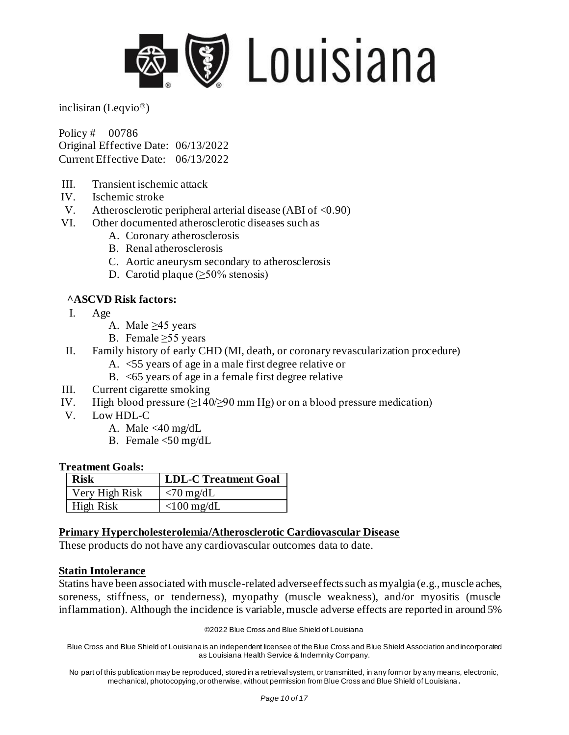

Policy # 00786 Original Effective Date: 06/13/2022 Current Effective Date: 06/13/2022

- III. Transient ischemic attack
- IV. Ischemic stroke
- V. Atherosclerotic peripheral arterial disease (ABI of  $\langle 0.90 \rangle$ )
- VI. Other documented atherosclerotic diseases such as
	- A. Coronary atherosclerosis
	- B. Renal atherosclerosis
	- C. Aortic aneurysm secondary to atherosclerosis
	- D. Carotid plaque (≥50% stenosis)

#### **^ASCVD Risk factors:**

- I. Age
	- A. Male  $\geq$ 45 years
	- B. Female > 55 years
- II. Family history of early CHD (MI, death, or coronary revascularization procedure)
	- A. <55 years of age in a male first degree relative or
	- B. <65 years of age in a female first degree relative
- III. Current cigarette smoking
- IV. High blood pressure  $(\geq 140/\geq 90 \text{ mm Hg})$  or on a blood pressure medication)
- V. Low HDL-C
	- A. Male <40 mg/dL
	- B. Female <50 mg/dL

#### **Treatment Goals:**

| <b>Risk</b>    | <b>LDL-C Treatment Goal</b> |
|----------------|-----------------------------|
| Very High Risk | $\langle 70 \text{ mg/dL}$  |
| High Risk      | $<$ 100 mg/dL               |

#### **Primary Hypercholesterolemia/Atherosclerotic Cardiovascular Disease**

These products do not have any cardiovascular outcomes data to date.

#### **Statin Intolerance**

Statins have been associated with muscle-related adverse effects such as myalgia (e.g., muscle aches, soreness, stiffness, or tenderness), myopathy (muscle weakness), and/or myositis (muscle inflammation). Although the incidence is variable, muscle adverse effects are reported in around 5%

©2022 Blue Cross and Blue Shield of Louisiana

Blue Cross and Blue Shield of Louisiana is an independent licensee of the Blue Cross and Blue Shield Association and incorporated as Louisiana Health Service & Indemnity Company.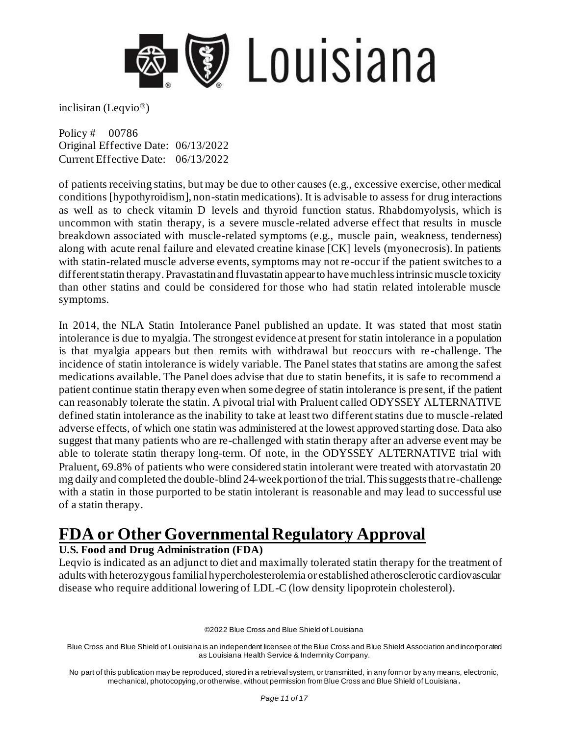

Policy # 00786 Original Effective Date: 06/13/2022 Current Effective Date: 06/13/2022

of patients receiving statins, but may be due to other causes (e.g., excessive exercise, other medical conditions [hypothyroidism], non-statin medications). It is advisable to assess for drug interactions as well as to check vitamin D levels and thyroid function status. Rhabdomyolysis, which is uncommon with statin therapy, is a severe muscle-related adverse effect that results in muscle breakdown associated with muscle-related symptoms (e.g., muscle pain, weakness, tenderness) along with acute renal failure and elevated creatine kinase [CK] levels (myonecrosis). In patients with statin-related muscle adverse events, symptoms may not re-occur if the patient switches to a different statin therapy. Pravastatin and fluvastatin appear to have much less intrinsic muscle toxicity than other statins and could be considered for those who had statin related intolerable muscle symptoms.

In 2014, the NLA Statin Intolerance Panel published an update. It was stated that most statin intolerance is due to myalgia. The strongest evidence at present for statin intolerance in a population is that myalgia appears but then remits with withdrawal but reoccurs with re -challenge. The incidence of statin intolerance is widely variable. The Panel states that statins are among the safest medications available. The Panel does advise that due to statin benefits, it is safe to recommend a patient continue statin therapy even when some degree of statin intolerance is present, if the patient can reasonably tolerate the statin. A pivotal trial with Praluent called ODYSSEY ALTERNATIVE defined statin intolerance as the inability to take at least two different statins due to muscle -related adverse effects, of which one statin was administered at the lowest approved starting dose. Data also suggest that many patients who are re-challenged with statin therapy after an adverse event may be able to tolerate statin therapy long-term. Of note, in the ODYSSEY ALTERNATIVE trial with Praluent, 69.8% of patients who were considered statin intolerant were treated with atorvastatin 20 mg daily and completed the double-blind 24-week portion of the trial. This suggests that re-challenge with a statin in those purported to be statin intolerant is reasonable and may lead to successful use of a statin therapy.

# **FDA or Other Governmental Regulatory Approval**

### **U.S. Food and Drug Administration (FDA)**

Leqvio is indicated as an adjunct to diet and maximally tolerated statin therapy for the treatment of adults with heterozygous familial hypercholesterolemia or established atherosclerotic cardiovascular disease who require additional lowering of LDL-C (low density lipoprotein cholesterol).

©2022 Blue Cross and Blue Shield of Louisiana

Blue Cross and Blue Shield of Louisiana is an independent licensee of the Blue Cross and Blue Shield Association and incorporated as Louisiana Health Service & Indemnity Company.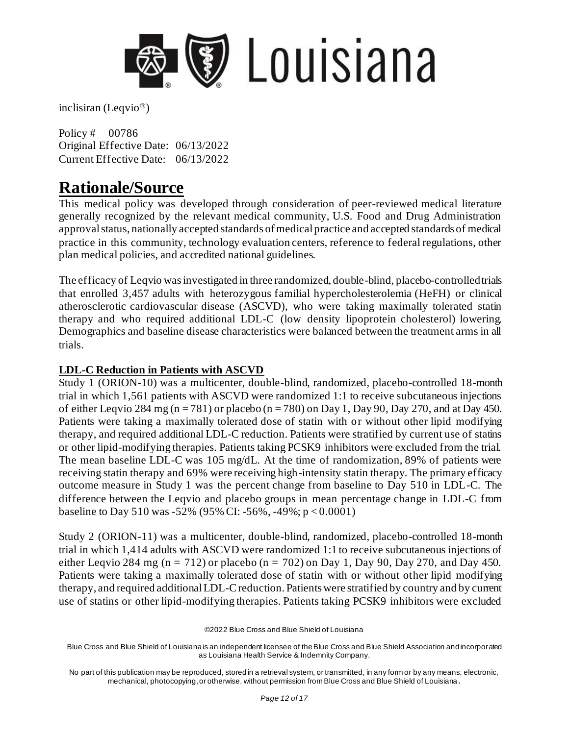

Policy # 00786 Original Effective Date: 06/13/2022 Current Effective Date: 06/13/2022

### **Rationale/Source**

This medical policy was developed through consideration of peer-reviewed medical literature generally recognized by the relevant medical community, U.S. Food and Drug Administration approval status, nationally accepted standards of medical practice and accepted standards of medical practice in this community, technology evaluation centers, reference to federal regulations, other plan medical policies, and accredited national guidelines.

The efficacy of Leqvio was investigated in three randomized, double-blind, placebo-controlled trials that enrolled 3,457 adults with heterozygous familial hypercholesterolemia (HeFH) or clinical atherosclerotic cardiovascular disease (ASCVD), who were taking maximally tolerated statin therapy and who required additional LDL-C (low density lipoprotein cholesterol) lowering. Demographics and baseline disease characteristics were balanced between the treatment arms in all trials.

### **LDL-C Reduction in Patients with ASCVD**

Study 1 (ORION-10) was a multicenter, double-blind, randomized, placebo-controlled 18-month trial in which 1,561 patients with ASCVD were randomized 1:1 to receive subcutaneous injections of either Leqvio 284 mg (n = 781) or placebo (n = 780) on Day 1, Day 90, Day 270, and at Day 450. Patients were taking a maximally tolerated dose of statin with or without other lipid modifying therapy, and required additional LDL-C reduction. Patients were stratified by current use of statins or other lipid-modifying therapies. Patients taking PCSK9 inhibitors were excluded from the trial. The mean baseline LDL-C was 105 mg/dL. At the time of randomization, 89% of patients were receiving statin therapy and 69% were receiving high-intensity statin therapy. The primary efficacy outcome measure in Study 1 was the percent change from baseline to Day 510 in LDL-C. The difference between the Leqvio and placebo groups in mean percentage change in LDL-C from baseline to Day 510 was -52% (95% CI: -56%, -49%;  $p < 0.0001$ )

Study 2 (ORION-11) was a multicenter, double-blind, randomized, placebo-controlled 18-month trial in which 1,414 adults with ASCVD were randomized 1:1 to receive subcutaneous injections of either Leqvio 284 mg (n = 712) or placebo (n = 702) on Day 1, Day 90, Day 270, and Day 450. Patients were taking a maximally tolerated dose of statin with or without other lipid modifying therapy, and required additional LDL-C reduction. Patients were stratified by country and by current use of statins or other lipid-modifying therapies. Patients taking PCSK9 inhibitors were excluded

©2022 Blue Cross and Blue Shield of Louisiana

Blue Cross and Blue Shield of Louisiana is an independent licensee of the Blue Cross and Blue Shield Association and incorporated as Louisiana Health Service & Indemnity Company.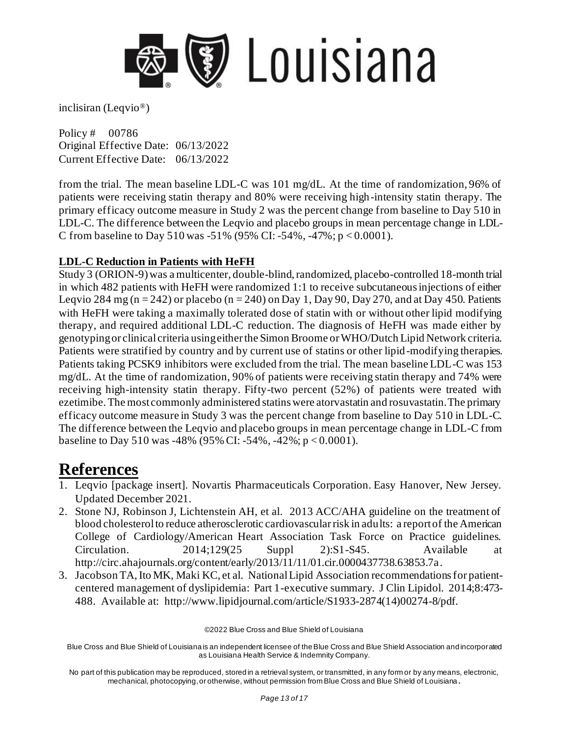

Policy # 00786 Original Effective Date: 06/13/2022 Current Effective Date: 06/13/2022

from the trial. The mean baseline LDL-C was 101 mg/dL. At the time of randomization, 96% of patients were receiving statin therapy and 80% were receiving high-intensity statin therapy. The primary efficacy outcome measure in Study 2 was the percent change from baseline to Day 510 in LDL-C. The difference between the Leqvio and placebo groups in mean percentage change in LDL-C from baseline to Day 510 was -51% (95% CI: -54%, -47%;  $p < 0.0001$ ).

#### **LDL-C Reduction in Patients with HeFH**

Study 3 (ORION-9) was a multicenter, double-blind, randomized, placebo-controlled 18-month trial in which 482 patients with HeFH were randomized 1:1 to receive subcutaneous injections of either Leqvio 284 mg (n = 242) or placebo (n = 240) on Day 1, Day 90, Day 270, and at Day 450. Patients with HeFH were taking a maximally tolerated dose of statin with or without other lipid modifying therapy, and required additional LDL-C reduction. The diagnosis of HeFH was made either by genotyping or clinical criteria using either the Simon Broome or WHO/Dutch Lipid Network criteria. Patients were stratified by country and by current use of statins or other lipid-modifying therapies. Patients taking PCSK9 inhibitors were excluded from the trial. The mean baseline LDL-C was 153 mg/dL. At the time of randomization, 90% of patients were receiving statin therapy and 74% were receiving high-intensity statin therapy. Fifty-two percent (52%) of patients were treated with ezetimibe. The most commonly administered statins were atorvastatin and rosuvastatin. The primary efficacy outcome measure in Study 3 was the percent change from baseline to Day 510 in LDL-C. The difference between the Leqvio and placebo groups in mean percentage change in LDL-C from baseline to Day 510 was -48% (95% CI: -54%, -42%; p < 0.0001).

### **References**

- 1. Leqvio [package insert]. Novartis Pharmaceuticals Corporation. Easy Hanover, New Jersey. Updated December 2021.
- 2. Stone NJ, Robinson J, Lichtenstein AH, et al. 2013 ACC/AHA guideline on the treatment of blood cholesterol to reduce atherosclerotic cardiovascular risk in adults: a report of the American College of Cardiology/American Heart Association Task Force on Practice guidelines. Circulation. 2014;129(25 Suppl 2):S1-S45. Available at <http://circ.ahajournals.org/content/early/2013/11/11/01.cir.0000437738.63853.7a>.
- 3. Jacobson TA, Ito MK, Maki KC, et al. National Lipid Association recommendations for patientcentered management of dyslipidemia: Part 1-executive summary. J Clin Lipidol. 2014;8:473- 488. Available at: [http://www.lipidjournal.com/article/S1933-2874\(14\)00274-8/pdf](http://www.lipidjournal.com/article/S1933-2874(14)00274-8/pdf).

©2022 Blue Cross and Blue Shield of Louisiana

Blue Cross and Blue Shield of Louisiana is an independent licensee of the Blue Cross and Blue Shield Association and incorporated as Louisiana Health Service & Indemnity Company.

No part of this publication may be reproduced, stored in a retrieval system, or transmitted, in any form or by any means, electronic, mechanical, photocopying, or otherwise, without permission from Blue Cross and Blue Shield of Louisiana **.**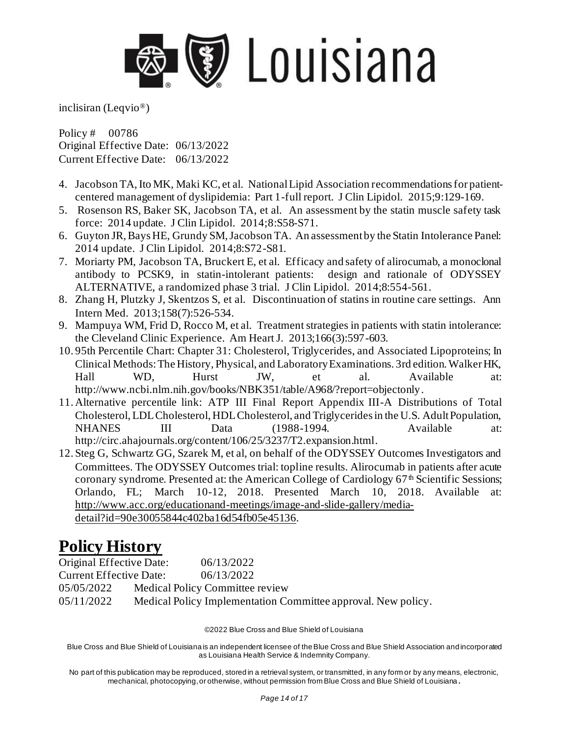

Policy # 00786 Original Effective Date: 06/13/2022 Current Effective Date: 06/13/2022

- 4. Jacobson TA, Ito MK, Maki KC, et al. National Lipid Association recommendations for patientcentered management of dyslipidemia: Part 1-full report. J Clin Lipidol. 2015;9:129-169.
- 5. Rosenson RS, Baker SK, Jacobson TA, et al. An assessment by the statin muscle safety task force: 2014 update. J Clin Lipidol. 2014;8:S58-S71.
- 6. Guyton JR, Bays HE, Grundy SM, Jacobson TA. An assessment by the Statin Intolerance Panel: 2014 update. J Clin Lipidol. 2014;8:S72-S81.
- 7. Moriarty PM, Jacobson TA, Bruckert E, et al. Efficacy and safety of alirocumab, a monoclonal antibody to PCSK9, in statin-intolerant patients: design and rationale of ODYSSEY ALTERNATIVE, a randomized phase 3 trial. J Clin Lipidol. 2014;8:554-561.
- 8. Zhang H, Plutzky J, Skentzos S, et al. Discontinuation of statins in routine care settings. Ann Intern Med. 2013;158(7):526-534.
- 9. Mampuya WM, Frid D, Rocco M, et al. Treatment strategies in patients with statin intolerance: the Cleveland Clinic Experience. Am Heart J. 2013;166(3):597-603.
- 10. 95th Percentile Chart: Chapter 31: Cholesterol, Triglycerides, and Associated Lipoproteins; In Clinical Methods: The History, Physical, and Laboratory Examinations. 3rd edition. Walker HK, Hall WD, Hurst JW, et al. Available at: <http://www.ncbi.nlm.nih.gov/books/NBK351/table/A968/?report=objectonly>.
- 11. Alternative percentile link: ATP III Final Report Appendix III-A Distributions of Total Cholesterol, LDL Cholesterol, HDL Cholesterol, and Triglycerides in the U.S. Adult Population, NHANES III Data (1988-1994. Available at: <http://circ.ahajournals.org/content/106/25/3237/T2.expansion.html>.
- 12. Steg G, Schwartz GG, Szarek M, et al, on behalf of the ODYSSEY Outcomes Investigators and Committees. The ODYSSEY Outcomes trial: topline results. Alirocumab in patients after acute coronary syndrome. Presented at: the American College of Cardiology 67<sup>th</sup> Scientific Sessions; Orlando, FL; March 10-12, 2018. Presented March 10, 2018. Available at: [http://www.acc.org/educationand-meetings/image-and-slide-gallery/media](http://www.acc.org/educationand-meetings/image-and-slide-gallery/media-detail?id=90e30055844c402ba16d54fb05e45136)[detail?id=90e30055844c402ba16d54fb05e45136.](http://www.acc.org/educationand-meetings/image-and-slide-gallery/media-detail?id=90e30055844c402ba16d54fb05e45136)

## **Policy History**

| Original Effective Date:                      | 06/13/2022                                                    |
|-----------------------------------------------|---------------------------------------------------------------|
| <b>Current Effective Date:</b>                | 06/13/2022                                                    |
| 05/05/2022<br>Medical Policy Committee review |                                                               |
| 05/11/2022                                    | Medical Policy Implementation Committee approval. New policy. |

©2022 Blue Cross and Blue Shield of Louisiana

Blue Cross and Blue Shield of Louisiana is an independent licensee of the Blue Cross and Blue Shield Association and incorporated as Louisiana Health Service & Indemnity Company.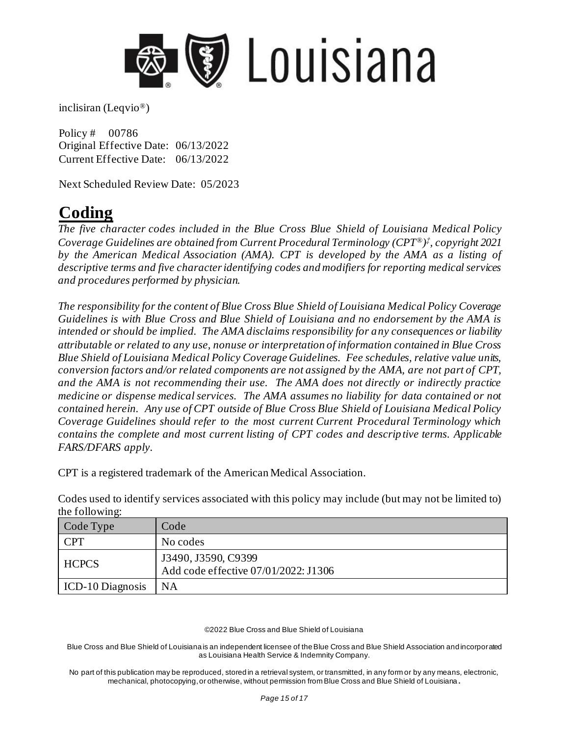

Policy # 00786 Original Effective Date: 06/13/2022 Current Effective Date: 06/13/2022

Next Scheduled Review Date: 05/2023

# **Coding**

*The five character codes included in the Blue Cross Blue Shield of Louisiana Medical Policy Coverage Guidelines are obtained from Current Procedural Terminology (CPT®) ‡ , copyright 2021 by the American Medical Association (AMA). CPT is developed by the AMA as a listing of descriptive terms and five character identifying codes and modifiers for reporting medical services and procedures performed by physician.*

*The responsibility for the content of Blue Cross Blue Shield of Louisiana Medical Policy Coverage Guidelines is with Blue Cross and Blue Shield of Louisiana and no endorsement by the AMA is intended or should be implied. The AMA disclaims responsibility for any consequences or liability attributable or related to any use, nonuse or interpretation of information contained in Blue Cross Blue Shield of Louisiana Medical Policy Coverage Guidelines. Fee schedules, relative value units, conversion factors and/or related components are not assigned by the AMA, are not part of CPT, and the AMA is not recommending their use. The AMA does not directly or indirectly practice medicine or dispense medical services. The AMA assumes no liability for data contained or not contained herein. Any use of CPT outside of Blue Cross Blue Shield of Louisiana Medical Policy Coverage Guidelines should refer to the most current Current Procedural Terminology which contains the complete and most current listing of CPT codes and descrip tive terms. Applicable FARS/DFARS apply.*

CPT is a registered trademark of the American Medical Association.

Codes used to identify services associated with this policy may include (but may not be limited to) the following:

| Code Type               | Code                                                        |
|-------------------------|-------------------------------------------------------------|
| <b>CPT</b>              | No codes                                                    |
| <b>HCPCS</b>            | J3490, J3590, C9399<br>Add code effective 07/01/2022: J1306 |
| <b>ICD-10 Diagnosis</b> | <b>NA</b>                                                   |

#### ©2022 Blue Cross and Blue Shield of Louisiana

Blue Cross and Blue Shield of Louisiana is an independent licensee of the Blue Cross and Blue Shield Association and incorporated as Louisiana Health Service & Indemnity Company.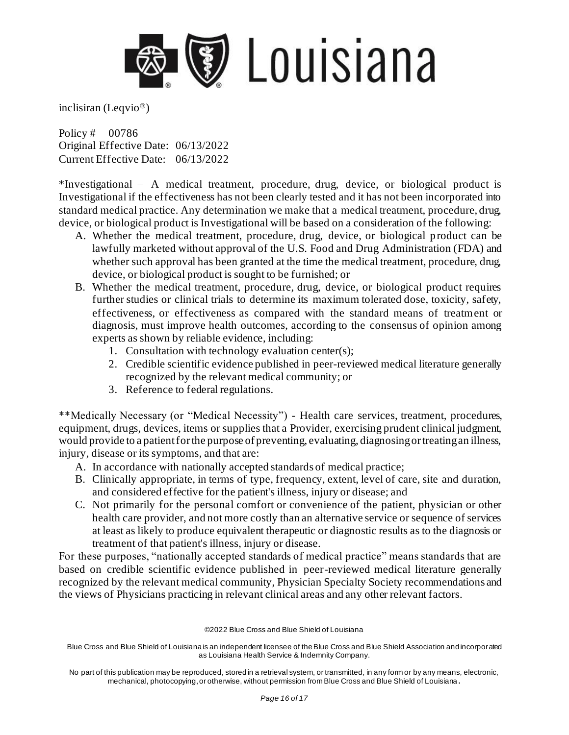

Policy # 00786 Original Effective Date: 06/13/2022 Current Effective Date: 06/13/2022

\*Investigational – A medical treatment, procedure, drug, device, or biological product is Investigational if the effectiveness has not been clearly tested and it has not been incorporated into standard medical practice. Any determination we make that a medical treatment, procedure, drug, device, or biological product is Investigational will be based on a consideration of the following:

- A. Whether the medical treatment, procedure, drug, device, or biological product can be lawfully marketed without approval of the U.S. Food and Drug Administration (FDA) and whether such approval has been granted at the time the medical treatment, procedure, drug, device, or biological product is sought to be furnished; or
- B. Whether the medical treatment, procedure, drug, device, or biological product requires further studies or clinical trials to determine its maximum tolerated dose, toxicity, safety, effectiveness, or effectiveness as compared with the standard means of treatment or diagnosis, must improve health outcomes, according to the consensus of opinion among experts as shown by reliable evidence, including:
	- 1. Consultation with technology evaluation center(s);
	- 2. Credible scientific evidence published in peer-reviewed medical literature generally recognized by the relevant medical community; or
	- 3. Reference to federal regulations.

\*\*Medically Necessary (or "Medical Necessity") - Health care services, treatment, procedures, equipment, drugs, devices, items or supplies that a Provider, exercising prudent clinical judgment, would provide to a patient for the purpose of preventing, evaluating, diagnosing or treating an illness, injury, disease or its symptoms, and that are:

- A. In accordance with nationally accepted standards of medical practice;
- B. Clinically appropriate, in terms of type, frequency, extent, level of care, site and duration, and considered effective for the patient's illness, injury or disease; and
- C. Not primarily for the personal comfort or convenience of the patient, physician or other health care provider, and not more costly than an alternative service or sequence of services at least as likely to produce equivalent therapeutic or diagnostic results as to the diagnosis or treatment of that patient's illness, injury or disease.

For these purposes, "nationally accepted standards of medical practice" means standards that are based on credible scientific evidence published in peer-reviewed medical literature generally recognized by the relevant medical community, Physician Specialty Society recommendations and the views of Physicians practicing in relevant clinical areas and any other relevant factors.

©2022 Blue Cross and Blue Shield of Louisiana

Blue Cross and Blue Shield of Louisiana is an independent licensee of the Blue Cross and Blue Shield Association and incorporated as Louisiana Health Service & Indemnity Company.